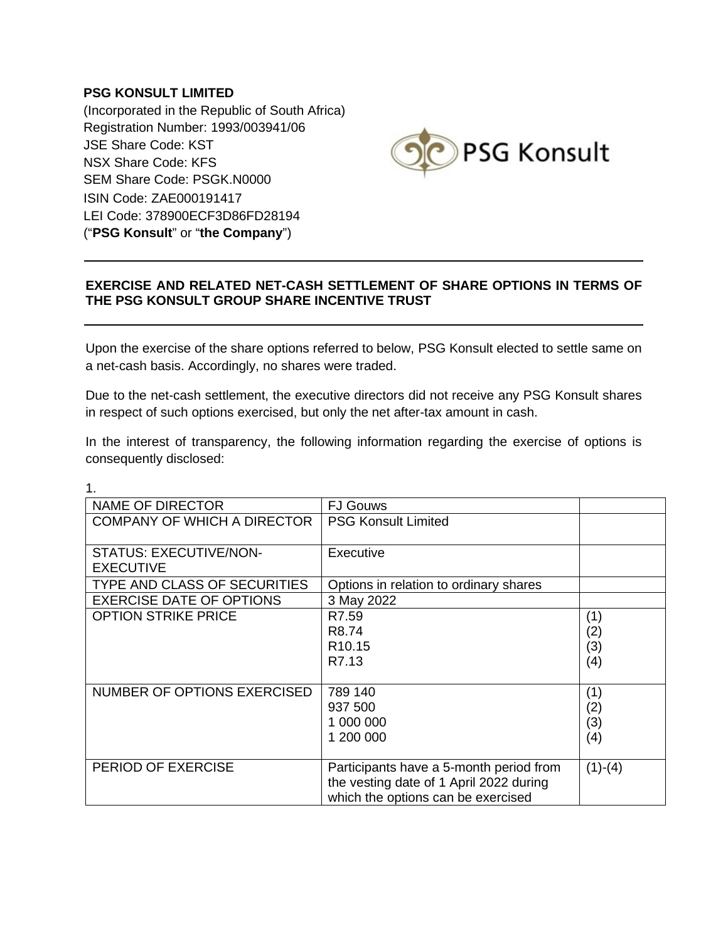## **PSG KONSULT LIMITED**

(Incorporated in the Republic of South Africa) Registration Number: 1993/003941/06 JSE Share Code: KST NSX Share Code: KFS SEM Share Code: PSGK.N0000 ISIN Code: ZAE000191417 LEI Code: 378900ECF3D86FD28194 ("**PSG Konsult**" or "**the Company**")



## **EXERCISE AND RELATED NET-CASH SETTLEMENT OF SHARE OPTIONS IN TERMS OF THE PSG KONSULT GROUP SHARE INCENTIVE TRUST**

Upon the exercise of the share options referred to below, PSG Konsult elected to settle same on a net-cash basis. Accordingly, no shares were traded.

Due to the net-cash settlement, the executive directors did not receive any PSG Konsult shares in respect of such options exercised, but only the net after-tax amount in cash.

In the interest of transparency, the following information regarding the exercise of options is consequently disclosed:

| <b>NAME OF DIRECTOR</b>                           | <b>FJ Gouws</b>                                                                                                          |                          |
|---------------------------------------------------|--------------------------------------------------------------------------------------------------------------------------|--------------------------|
| <b>COMPANY OF WHICH A DIRECTOR</b>                | <b>PSG Konsult Limited</b>                                                                                               |                          |
| <b>STATUS: EXECUTIVE/NON-</b><br><b>EXECUTIVE</b> | Executive                                                                                                                |                          |
| <b>TYPE AND CLASS OF SECURITIES</b>               | Options in relation to ordinary shares                                                                                   |                          |
| <b>EXERCISE DATE OF OPTIONS</b>                   | 3 May 2022                                                                                                               |                          |
| <b>OPTION STRIKE PRICE</b>                        | R7.59<br>R8.74<br>R <sub>10.15</sub><br>R7.13                                                                            | (1)<br>(2)<br>(3)<br>(4) |
| NUMBER OF OPTIONS EXERCISED                       | 789 140<br>937 500<br>1 000 000<br>1 200 000                                                                             | (1)<br>(2)<br>(3)<br>(4) |
| PERIOD OF EXERCISE                                | Participants have a 5-month period from<br>the vesting date of 1 April 2022 during<br>which the options can be exercised | $(1)-(4)$                |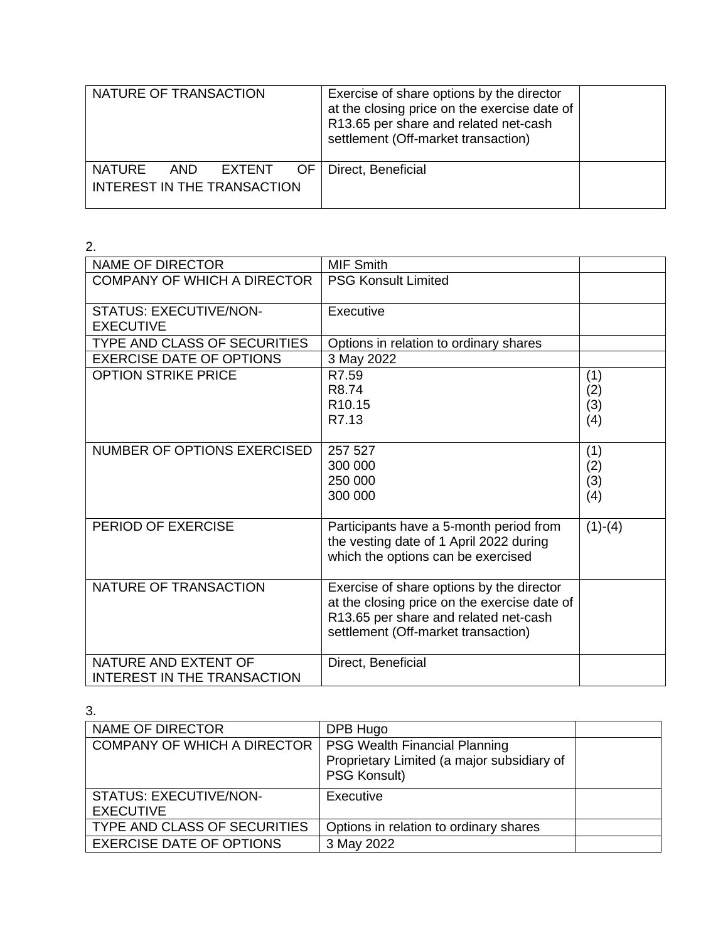| NATURE OF TRANSACTION                                                 | Exercise of share options by the director<br>at the closing price on the exercise date of<br>R13.65 per share and related net-cash<br>settlement (Off-market transaction) |  |
|-----------------------------------------------------------------------|---------------------------------------------------------------------------------------------------------------------------------------------------------------------------|--|
| OF.<br><b>NATURE</b><br>AND.<br>EXTENT<br>INTEREST IN THE TRANSACTION | Direct, Beneficial                                                                                                                                                        |  |

| 2.                                                         |                                                                                                                                                                           |                          |
|------------------------------------------------------------|---------------------------------------------------------------------------------------------------------------------------------------------------------------------------|--------------------------|
| <b>NAME OF DIRECTOR</b>                                    | <b>MIF Smith</b>                                                                                                                                                          |                          |
| <b>COMPANY OF WHICH A DIRECTOR</b>                         | <b>PSG Konsult Limited</b>                                                                                                                                                |                          |
| <b>STATUS: EXECUTIVE/NON-</b><br><b>EXECUTIVE</b>          | Executive                                                                                                                                                                 |                          |
| TYPE AND CLASS OF SECURITIES                               | Options in relation to ordinary shares                                                                                                                                    |                          |
| <b>EXERCISE DATE OF OPTIONS</b>                            | 3 May 2022                                                                                                                                                                |                          |
| <b>OPTION STRIKE PRICE</b>                                 | R7.59<br>R <sub>8.74</sub><br>R <sub>10.15</sub><br>R7.13                                                                                                                 | (1)<br>(2)<br>(3)<br>(4) |
| NUMBER OF OPTIONS EXERCISED                                | 257 527<br>300 000<br>250 000<br>300 000                                                                                                                                  | (1)<br>(2)<br>(3)<br>(4) |
| PERIOD OF EXERCISE                                         | Participants have a 5-month period from<br>the vesting date of 1 April 2022 during<br>which the options can be exercised                                                  | $(1)-(4)$                |
| NATURE OF TRANSACTION                                      | Exercise of share options by the director<br>at the closing price on the exercise date of<br>R13.65 per share and related net-cash<br>settlement (Off-market transaction) |                          |
| NATURE AND EXTENT OF<br><b>INTEREST IN THE TRANSACTION</b> | Direct, Beneficial                                                                                                                                                        |                          |

| NAME OF DIRECTOR                   | DPB Hugo                                   |  |
|------------------------------------|--------------------------------------------|--|
| <b>COMPANY OF WHICH A DIRECTOR</b> | <b>PSG Wealth Financial Planning</b>       |  |
|                                    | Proprietary Limited (a major subsidiary of |  |
|                                    | <b>PSG Konsult)</b>                        |  |
| STATUS: EXECUTIVE/NON-             | Executive                                  |  |
| <b>EXECUTIVE</b>                   |                                            |  |
| TYPE AND CLASS OF SECURITIES       | Options in relation to ordinary shares     |  |
| <b>EXERCISE DATE OF OPTIONS</b>    | 3 May 2022                                 |  |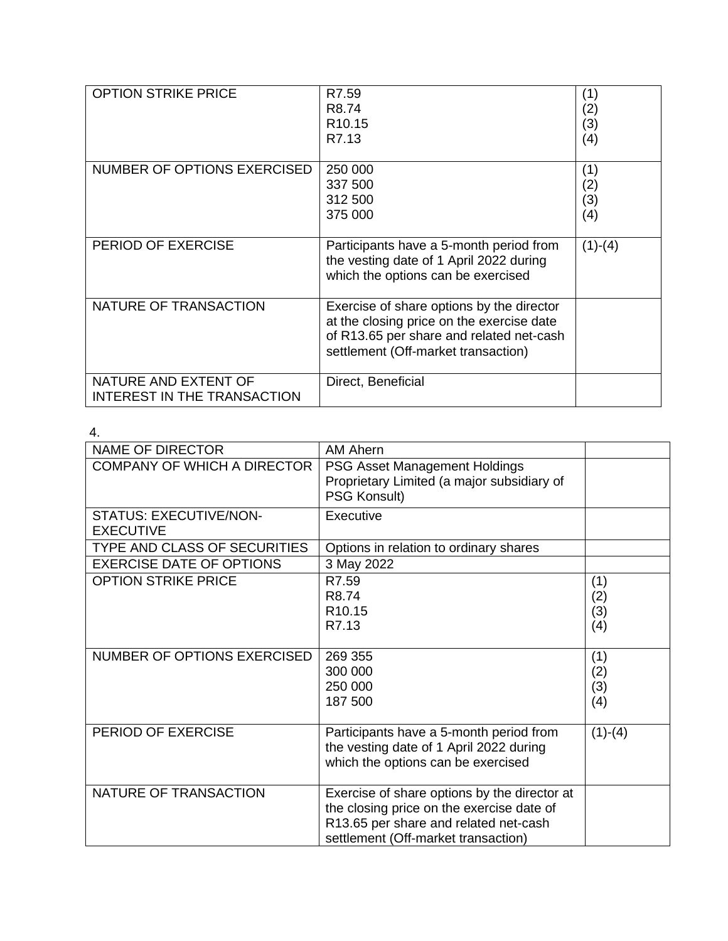| <b>OPTION STRIKE PRICE</b>                                 | R7.59<br>R <sub>8.74</sub><br>R <sub>10.15</sub><br>R7.13                                                                                                                 | (1)<br>(2)<br>(3)<br>(4) |
|------------------------------------------------------------|---------------------------------------------------------------------------------------------------------------------------------------------------------------------------|--------------------------|
| NUMBER OF OPTIONS EXERCISED                                | 250 000<br>337 500<br>312 500<br>375 000                                                                                                                                  | (1)<br>(2)<br>(3)<br>(4) |
| PERIOD OF EXERCISE                                         | Participants have a 5-month period from<br>the vesting date of 1 April 2022 during<br>which the options can be exercised                                                  | $(1)-(4)$                |
| NATURE OF TRANSACTION                                      | Exercise of share options by the director<br>at the closing price on the exercise date<br>of R13.65 per share and related net-cash<br>settlement (Off-market transaction) |                          |
| NATURE AND EXTENT OF<br><b>INTEREST IN THE TRANSACTION</b> | Direct, Beneficial                                                                                                                                                        |                          |

| <b>NAME OF DIRECTOR</b>                    | AM Ahern                                                                                                                                                                  |                          |
|--------------------------------------------|---------------------------------------------------------------------------------------------------------------------------------------------------------------------------|--------------------------|
| <b>COMPANY OF WHICH A DIRECTOR</b>         | PSG Asset Management Holdings<br>Proprietary Limited (a major subsidiary of                                                                                               |                          |
|                                            | PSG Konsult)                                                                                                                                                              |                          |
| STATUS: EXECUTIVE/NON-<br><b>EXECUTIVE</b> | Executive                                                                                                                                                                 |                          |
| <b>TYPE AND CLASS OF SECURITIES</b>        | Options in relation to ordinary shares                                                                                                                                    |                          |
| <b>EXERCISE DATE OF OPTIONS</b>            | 3 May 2022                                                                                                                                                                |                          |
| <b>OPTION STRIKE PRICE</b>                 | R7.59<br>R8.74<br>R <sub>10.15</sub><br>R7.13                                                                                                                             | (1)<br>(2)<br>(3)<br>(4) |
| NUMBER OF OPTIONS EXERCISED                | 269 355<br>300 000<br>250 000<br>187 500                                                                                                                                  | (1)<br>(2)<br>(3)<br>(4) |
| PERIOD OF EXERCISE                         | Participants have a 5-month period from<br>the vesting date of 1 April 2022 during<br>which the options can be exercised                                                  | $(1)-(4)$                |
| NATURE OF TRANSACTION                      | Exercise of share options by the director at<br>the closing price on the exercise date of<br>R13.65 per share and related net-cash<br>settlement (Off-market transaction) |                          |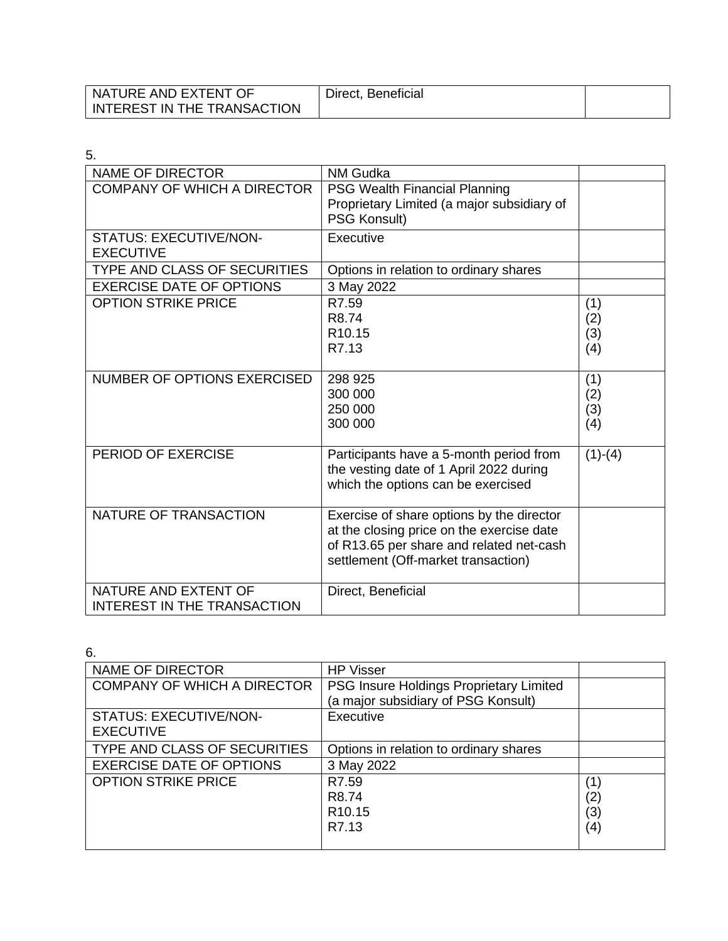| NATURE AND EXTENT OF        | Direct, Beneficial |  |
|-----------------------------|--------------------|--|
| INTEREST IN THE TRANSACTION |                    |  |

| 5.                                                  |                                                                                                                                                                           |                          |
|-----------------------------------------------------|---------------------------------------------------------------------------------------------------------------------------------------------------------------------------|--------------------------|
| <b>NAME OF DIRECTOR</b>                             | <b>NM Gudka</b>                                                                                                                                                           |                          |
| <b>COMPANY OF WHICH A DIRECTOR</b>                  | <b>PSG Wealth Financial Planning</b><br>Proprietary Limited (a major subsidiary of<br>PSG Konsult)                                                                        |                          |
| <b>STATUS: EXECUTIVE/NON-</b><br><b>EXECUTIVE</b>   | Executive                                                                                                                                                                 |                          |
| <b>TYPE AND CLASS OF SECURITIES</b>                 | Options in relation to ordinary shares                                                                                                                                    |                          |
| <b>EXERCISE DATE OF OPTIONS</b>                     | 3 May 2022                                                                                                                                                                |                          |
| <b>OPTION STRIKE PRICE</b>                          | R7.59<br>R8.74<br>R <sub>10.15</sub><br>R7.13                                                                                                                             | (1)<br>(2)<br>(3)<br>(4) |
| NUMBER OF OPTIONS EXERCISED                         | 298 925<br>300 000<br>250 000<br>300 000                                                                                                                                  | (1)<br>(2)<br>(3)<br>(4) |
| PERIOD OF EXERCISE                                  | Participants have a 5-month period from<br>the vesting date of 1 April 2022 during<br>which the options can be exercised                                                  | $(1)-(4)$                |
| NATURE OF TRANSACTION                               | Exercise of share options by the director<br>at the closing price on the exercise date<br>of R13.65 per share and related net-cash<br>settlement (Off-market transaction) |                          |
| NATURE AND EXTENT OF<br>INTEREST IN THE TRANSACTION | Direct, Beneficial                                                                                                                                                        |                          |

| <b>NAME OF DIRECTOR</b>            | <b>HP Visser</b>                        |     |
|------------------------------------|-----------------------------------------|-----|
| <b>COMPANY OF WHICH A DIRECTOR</b> | PSG Insure Holdings Proprietary Limited |     |
|                                    | (a major subsidiary of PSG Konsult)     |     |
| <b>STATUS: EXECUTIVE/NON-</b>      | Executive                               |     |
| <b>EXECUTIVE</b>                   |                                         |     |
| TYPE AND CLASS OF SECURITIES       | Options in relation to ordinary shares  |     |
| <b>EXERCISE DATE OF OPTIONS</b>    | 3 May 2022                              |     |
| <b>OPTION STRIKE PRICE</b>         | R7.59                                   | (1  |
|                                    | R <sub>8.74</sub>                       | (2) |
|                                    | R <sub>10.15</sub>                      | (3) |
|                                    | R7.13                                   | (4) |
|                                    |                                         |     |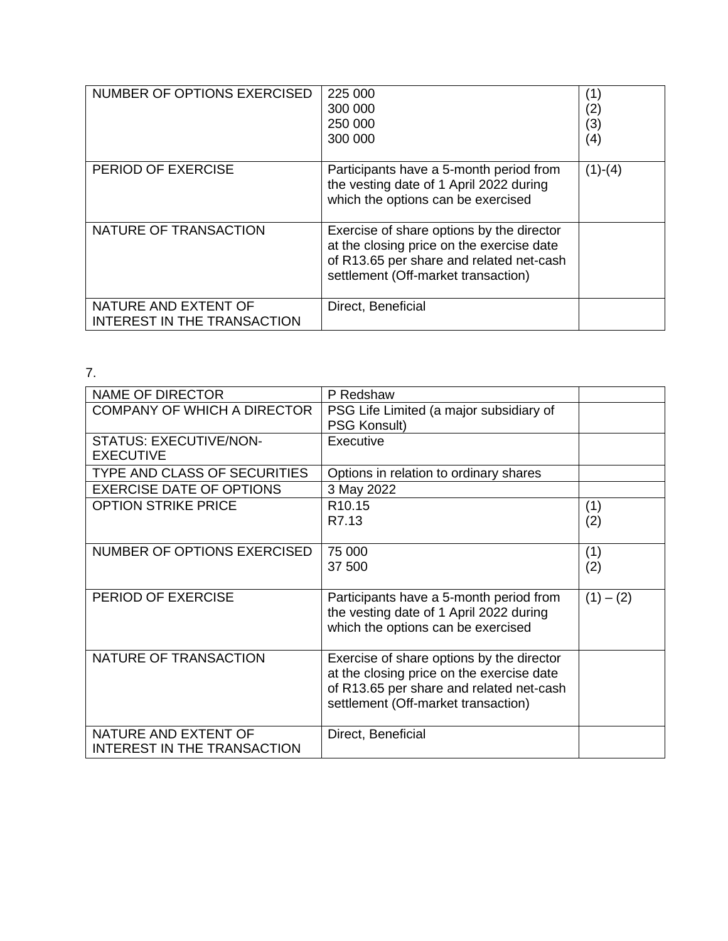| NUMBER OF OPTIONS EXERCISED                                | 225 000                                                                                                                                                                   | (1)       |
|------------------------------------------------------------|---------------------------------------------------------------------------------------------------------------------------------------------------------------------------|-----------|
|                                                            | 300 000                                                                                                                                                                   | (2)       |
|                                                            | 250 000                                                                                                                                                                   | (3)       |
|                                                            | 300 000                                                                                                                                                                   | (4)       |
| PERIOD OF EXERCISE                                         | Participants have a 5-month period from<br>the vesting date of 1 April 2022 during<br>which the options can be exercised                                                  | $(1)-(4)$ |
| NATURE OF TRANSACTION                                      | Exercise of share options by the director<br>at the closing price on the exercise date<br>of R13.65 per share and related net-cash<br>settlement (Off-market transaction) |           |
| NATURE AND EXTENT OF<br><b>INTEREST IN THE TRANSACTION</b> | Direct, Beneficial                                                                                                                                                        |           |

| . .                                               |                                           |             |
|---------------------------------------------------|-------------------------------------------|-------------|
| <b>NAME OF DIRECTOR</b>                           | P Redshaw                                 |             |
| <b>COMPANY OF WHICH A DIRECTOR</b>                | PSG Life Limited (a major subsidiary of   |             |
|                                                   | <b>PSG Konsult)</b>                       |             |
| <b>STATUS: EXECUTIVE/NON-</b><br><b>EXECUTIVE</b> | Executive                                 |             |
| TYPE AND CLASS OF SECURITIES                      | Options in relation to ordinary shares    |             |
| <b>EXERCISE DATE OF OPTIONS</b>                   | 3 May 2022                                |             |
| <b>OPTION STRIKE PRICE</b>                        | R <sub>10.15</sub>                        | (1)         |
|                                                   | R7.13                                     | (2)         |
|                                                   |                                           |             |
| NUMBER OF OPTIONS EXERCISED                       | 75 000                                    | (1)         |
|                                                   | 37 500                                    | (2)         |
|                                                   |                                           |             |
| PERIOD OF EXERCISE                                | Participants have a 5-month period from   | $(1) - (2)$ |
|                                                   | the vesting date of 1 April 2022 during   |             |
|                                                   | which the options can be exercised        |             |
| NATURE OF TRANSACTION                             | Exercise of share options by the director |             |
|                                                   | at the closing price on the exercise date |             |
|                                                   | of R13.65 per share and related net-cash  |             |
|                                                   | settlement (Off-market transaction)       |             |
|                                                   |                                           |             |
| NATURE AND EXTENT OF                              | Direct, Beneficial                        |             |
| <b>INTEREST IN THE TRANSACTION</b>                |                                           |             |